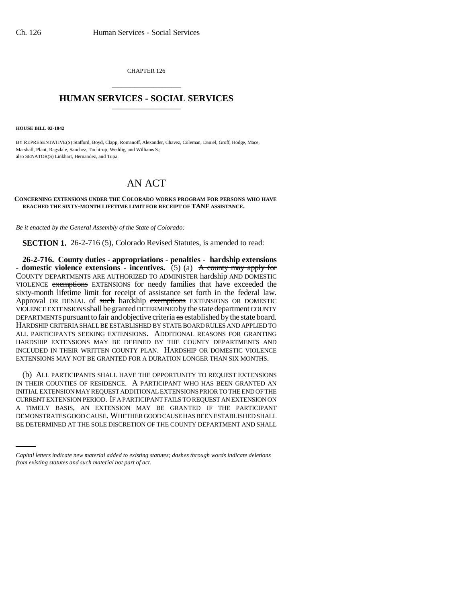CHAPTER 126 \_\_\_\_\_\_\_\_\_\_\_\_\_\_\_

## **HUMAN SERVICES - SOCIAL SERVICES** \_\_\_\_\_\_\_\_\_\_\_\_\_\_\_

**HOUSE BILL 02-1042**

BY REPRESENTATIVE(S) Stafford, Boyd, Clapp, Romanoff, Alexander, Chavez, Coleman, Daniel, Groff, Hodge, Mace, Marshall, Plant, Ragsdale, Sanchez, Tochtrop, Weddig, and Williams S.; also SENATOR(S) Linkhart, Hernandez, and Tupa.

## AN ACT

## **CONCERNING EXTENSIONS UNDER THE COLORADO WORKS PROGRAM FOR PERSONS WHO HAVE REACHED THE SIXTY-MONTH LIFETIME LIMIT FOR RECEIPT OF TANF ASSISTANCE.**

*Be it enacted by the General Assembly of the State of Colorado:*

**SECTION 1.** 26-2-716 (5), Colorado Revised Statutes, is amended to read:

**26-2-716. County duties - appropriations - penalties - hardship extensions** - domestic violence extensions - incentives. (5) (a) A county may apply for COUNTY DEPARTMENTS ARE AUTHORIZED TO ADMINISTER hardship AND DOMESTIC VIOLENCE exemptions EXTENSIONS for needy families that have exceeded the sixty-month lifetime limit for receipt of assistance set forth in the federal law. Approval OR DENIAL of such hardship exemptions EXTENSIONS OR DOMESTIC VIOLENCE EXTENSIONS shall be granted DETERMINED by the state department COUNTY DEPARTMENTS pursuant to fair and objective criteria as established by the state board. HARDSHIP CRITERIA SHALL BE ESTABLISHED BY STATE BOARD RULES AND APPLIED TO ALL PARTICIPANTS SEEKING EXTENSIONS. ADDITIONAL REASONS FOR GRANTING HARDSHIP EXTENSIONS MAY BE DEFINED BY THE COUNTY DEPARTMENTS AND INCLUDED IN THEIR WRITTEN COUNTY PLAN. HARDSHIP OR DOMESTIC VIOLENCE EXTENSIONS MAY NOT BE GRANTED FOR A DURATION LONGER THAN SIX MONTHS.

A TIMELY BASIS, AN EXTENSION MAY BE GRANTED IF THE PARTICIPANT (b) ALL PARTICIPANTS SHALL HAVE THE OPPORTUNITY TO REQUEST EXTENSIONS IN THEIR COUNTIES OF RESIDENCE. A PARTICIPANT WHO HAS BEEN GRANTED AN INITIAL EXTENSION MAY REQUEST ADDITIONAL EXTENSIONS PRIOR TO THE END OF THE CURRENT EXTENSION PERIOD. IF A PARTICIPANT FAILS TO REQUEST AN EXTENSION ON DEMONSTRATES GOOD CAUSE. WHETHER GOOD CAUSE HAS BEEN ESTABLISHED SHALL BE DETERMINED AT THE SOLE DISCRETION OF THE COUNTY DEPARTMENT AND SHALL

*Capital letters indicate new material added to existing statutes; dashes through words indicate deletions from existing statutes and such material not part of act.*